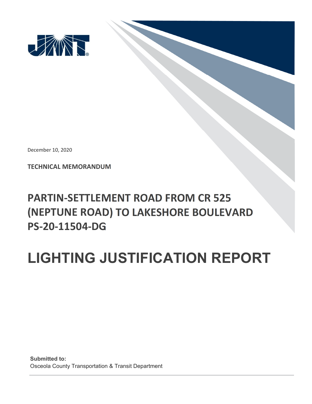

December 10, 2020

**TECHNICAL MEMORANDUM** 

## **PARTIN‐SETTLEMENT ROAD FROM CR 525 (NEPTUNE ROAD) TO LAKESHORE BOULEVARD PS‐20‐11504‐DG**

## **LIGHTING JUSTIFICATION REPORT**

**Submitted to:** Osceola County Transportation & Transit Department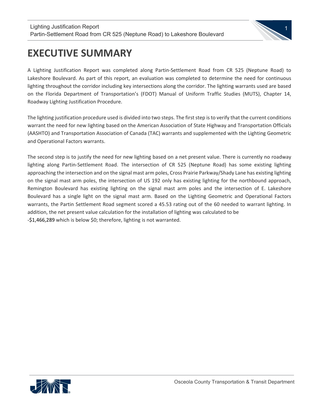

## **EXECUTIVE SUMMARY**

 $\overline{\phantom{a}}$ 

A Lighting Justification Report was completed along Partin‐Settlement Road from CR 525 (Neptune Road) to Lakeshore Boulevard. As part of this report, an evaluation was completed to determine the need for continuous lighting throughout the corridor including key intersections along the corridor. The lighting warrants used are based on the Florida Department of Transportation's (FDOT) Manual of Uniform Traffic Studies (MUTS), Chapter 14, Roadway Lighting Justification Procedure.

The lighting justification procedure used is divided into two steps. The first step is to verify that the current conditions warrant the need for new lighting based on the American Association of State Highway and Transportation Officials (AASHTO) and Transportation Association of Canada (TAC) warrants and supplemented with the Lighting Geometric and Operational Factors warrants.

The second step is to justify the need for new lighting based on a net present value. There is currently no roadway lighting along Partin‐Settlement Road. The intersection of CR 525 (Neptune Road) has some existing lighting approaching the intersection and on the signal mast arm poles, Cross Prairie Parkway/Shady Lane has existing lighting on the signal mast arm poles, the intersection of US 192 only has existing lighting for the northbound approach, Remington Boulevard has existing lighting on the signal mast arm poles and the intersection of E. Lakeshore Boulevard has a single light on the signal mast arm. Based on the Lighting Geometric and Operational Factors warrants, the Partin Settlement Road segment scored a 45.53 rating out of the 60 needed to warrant lighting. In addition, the net present value calculation for the installation of lighting was calculated to be ‐\$1,466,289 which is below \$0; therefore, lighting is not warranted.

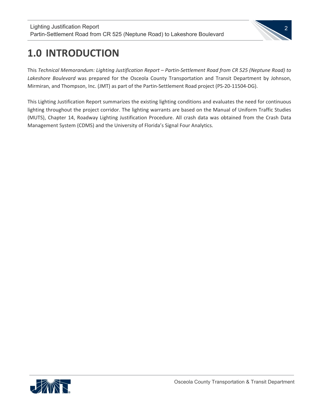

## **1.0 INTRODUCTION**

 $\overline{\phantom{a}}$ 

This *Technical Memorandum: Lighting Justification Report – Partin‐Settlement Road from CR 525 (Neptune Road) to Lakeshore Boulevard* was prepared for the Osceola County Transportation and Transit Department by Johnson, Mirmiran, and Thompson, Inc. (JMT) as part of the Partin‐Settlement Road project (PS‐20‐11504‐DG).

This Lighting Justification Report summarizes the existing lighting conditions and evaluates the need for continuous lighting throughout the project corridor. The lighting warrants are based on the Manual of Uniform Traffic Studies (MUTS), Chapter 14, Roadway Lighting Justification Procedure. All crash data was obtained from the Crash Data Management System (CDMS) and the University of Florida's Signal Four Analytics.

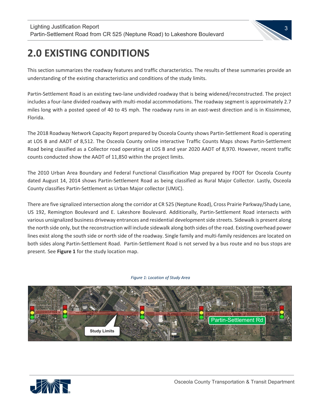

## **2.0 EXISTING CONDITIONS**

 $\overline{\phantom{a}}$ 

This section summarizes the roadway features and traffic characteristics. The results of these summaries provide an understanding of the existing characteristics and conditions of the study limits.

Partin‐Settlement Road is an existing two‐lane undivided roadway that is being widened/reconstructed. The project includes a four‐lane divided roadway with multi‐modal accommodations. The roadway segment is approximately 2.7 miles long with a posted speed of 40 to 45 mph. The roadway runs in an east-west direction and is in Kissimmee, Florida.

The 2018 Roadway Network Capacity Report prepared by Osceola County shows Partin‐Settlement Road is operating at LOS B and AADT of 8,512. The Osceola County online interactive Traffic Counts Maps shows Partin‐Settlement Road being classified as a Collector road operating at LOS B and year 2020 AADT of 8,970. However, recent traffic counts conducted show the AADT of 11,850 within the project limits.

The 2010 Urban Area Boundary and Federal Functional Classification Map prepared by FDOT for Osceola County dated August 14, 2014 shows Partin‐Settlement Road as being classified as Rural Major Collector. Lastly, Osceola County classifies Partin‐Settlement as Urban Major collector (UMJC).

There are five signalized intersection along the corridor at CR 525 (Neptune Road), Cross Prairie Parkway/Shady Lane, US 192, Remington Boulevard and E. Lakeshore Boulevard. Additionally, Partin‐Settlement Road intersects with various unsignalized business driveway entrances and residential developmentside streets. Sidewalk is present along the north side only, but the reconstruction will include sidewalk along both sides of the road. Existing overhead power lines exist along the south side or north side of the roadway. Single family and multi-family residences are located on both sides along Partin‐Settlement Road. Partin‐Settlement Road is not served by a bus route and no bus stops are present. See **Figure 1** for the study location map.



#### *Figure 1: Location of Study Area*

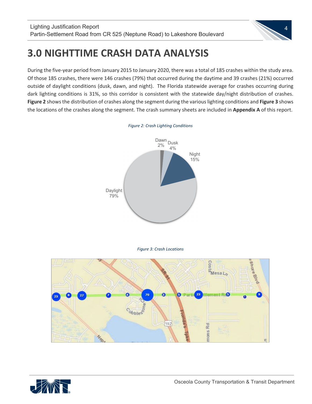

## **3.0 NIGHTTIME CRASH DATA ANALYSIS**

During the five‐year period from January 2015 to January 2020, there was a total of 185 crashes within the study area. Of those 185 crashes, there were 146 crashes (79%) that occurred during the daytime and 39 crashes (21%) occurred outside of daylight conditions (dusk, dawn, and night). The Florida statewide average for crashes occurring during dark lighting conditions is 31%, so this corridor is consistent with the statewide day/night distribution of crashes. **Figure 2** showsthe distribution of crashes along the segment during the variouslighting conditions and **Figure 3** shows the locations of the crashes along the segment. The crash summary sheets are included in **Appendix A** of this report.



*Figure 2: Crash Lighting Conditions*

*Figure 3: Crash Locations*



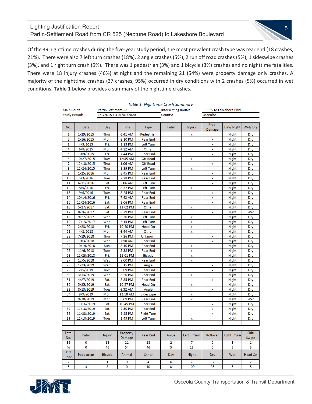#### Lighting Justification Report Partin-Settlement Road from CR 525 (Neptune Road) to Lakeshore Boulevard



Of the 39 nighttime crashes during the five-year study period, the most prevalent crash type was rear end (18 crashes, 21%). There were also 7 left turn crashes (18%), 2 angle crashes (5%), 2 run off road crashes (5%), 1 sideswipe crashes (3%), and 1 right turn crash (5%). There was 1 pedestrian (3%) and 1 bicycle (3%) crashes and no nighttime fatalities. There were 18 injury crashes (46%) at night and the remaining 21 (54%) were property damage only crashes. A majority of the nighttime crashes (37 crashes, 95%) occurred in dry conditions with 2 crashes (5%) occurred in wet conditions. **Table 1** below provides a summary of the nighttime crashes.

|                      |              |                            |                    | Table 1: Nighttime Crash Summary |                            |              |                          |                |                |
|----------------------|--------------|----------------------------|--------------------|----------------------------------|----------------------------|--------------|--------------------------|----------------|----------------|
| Main Route:          |              | <b>Partin Settlment Rd</b> |                    |                                  | <b>Intersecting Route:</b> |              | CR 525 to Lakeshore Blvd |                |                |
| <b>Study Period:</b> |              | 1/1/2015 TO 01/01/2020     |                    |                                  | County:                    |              | Osceoloa                 |                |                |
|                      |              |                            |                    |                                  |                            |              |                          |                |                |
| No.                  | Date         | Day                        | <b>Time</b>        | <b>Type</b>                      | Fatal                      | Injury       | Prop.<br>Damage          | Day/Night      | Wet/Dry        |
| 1                    | 1/29/2015    | Thur.                      | 6:41 AM            | Pedestrian                       |                            | x            |                          | <b>Night</b>   | Dry            |
| $\overline{2}$       | 2/16/2015    | Mon.                       | 6:10 PM            | <b>Rear End</b>                  |                            |              | x                        | <b>Night</b>   | Dry            |
| 3                    | 4/3/2015     | Fri.                       | 8:13 PM            | Left Turn                        |                            |              | x                        | <b>Night</b>   | Dry            |
| 4                    | 6/8/2015     | Mon.                       | 4:12 AM            | Other                            |                            |              | X                        | <b>Night</b>   | Dry            |
| 5                    | 10/9/2015    | Fri.                       | 7:44 PM            | <b>Rear End</b>                  |                            |              | x                        | <b>Night</b>   | Dry            |
| 6                    | 10/27/2015   | Tues.                      | 12:35 AM           | <b>Off Road</b>                  |                            | X            |                          | <b>Night</b>   | Dry            |
| 7                    | 12/10/2015   | Thur.                      | 1:06 AM            | Off Road                         |                            |              | X                        | <b>Night</b>   | Dry            |
| 8                    | 12/24/2015   | Thur.                      | 8:39 PM            | Left Turn                        |                            | x            |                          | <b>Night</b>   | Dry            |
| 9                    | 1/25/2016    | Mon.                       | 6:45 PM            | <b>Rear End</b>                  |                            |              | x                        | <b>Night</b>   | Dry            |
| 10                   | 5/3/2016     | Tues.                      | 7:28 PM            | <b>Rear End</b>                  |                            |              | X                        | <b>Night</b>   | Dry            |
| 11                   | 6/11/2016    | Sat.                       | 5:06 AM            | Left Turn                        |                            |              | x                        | Night          | Dry            |
| 12                   | 8/5/2016     | Fri.                       | 8:37 PM            | Left Turn                        |                            | x            |                          | <b>Night</b>   | Dry            |
| 13                   | 9/6/2016     | Tues.                      | 8:25 PM            | <b>Rear End</b>                  |                            |              | X                        | <b>Night</b>   | Dry            |
| 14                   | 10/14/2016   | Fri.                       | 7:42 AM            | <b>Rear End</b>                  |                            |              | x                        | Night          | Dry            |
| 15                   | 12/24/2016   | Sat.                       | 8:06 PM            | <b>Rear End</b>                  |                            |              | x                        | <b>Night</b>   | Dry            |
| 16                   | 5/27/2017    | Sat.                       | 11:02 PM           | Other                            |                            | X            |                          | <b>Night</b>   | Dry            |
| 17                   | 8/26/2017    | Sat.                       | 8:29 PM            | <b>Rear End</b>                  |                            |              | x                        | <b>Night</b>   | Wet            |
| 18                   | 9/27/2017    | Wed.                       | 8:30 PM            | Left Turn                        |                            | X            |                          | <b>Night</b>   | Dry            |
| 19                   | 12/13/2017   | Wed.                       | 6:15 PM            | Left Turn                        |                            | X            |                          | <b>Night</b>   | Dry            |
| 20                   | 2/23/2018    | Fri.                       | 10:40 PM           | Head On                          |                            | X            |                          | <b>Night</b>   | Dry            |
| 21                   | 4/2/2018     | Mon.                       | 6:44 AM            | Other                            |                            | x            |                          | <b>Night</b>   | Dry            |
| 22                   | 7/19/2018    | Thur.                      | 7:26 PM            | Unknown                          |                            |              | x                        | <b>Night</b>   | Dry            |
| 23                   | 10/3/2018    | Wed.                       | 7:50 AM            | <b>Rear End</b>                  |                            |              | x                        | Night          | Dry            |
| 24                   | 10/14/2018   | Sun.                       | 8:10 PM            | <b>Rear End</b>                  |                            | X            |                          | <b>Night</b>   | Dry            |
| 25                   | 11/6/2018    | Tues.                      | 5:38 PM            | <b>Rear End</b>                  |                            | X            |                          | <b>Night</b>   | Dry            |
| 26                   | 11/23/2018   | Fri.                       | 11:01 PM           | <b>Bicycle</b>                   |                            | X            |                          | <b>Night</b>   | Dry            |
| 27                   | 12/5/2018    | Wed.                       | 9:00 PM            | <b>Rear End</b>                  |                            | X            |                          | Night          | Dry            |
| 28                   | 1/23/2019    | Wed.                       | 6:15 PM            | Angle                            |                            |              | x                        | <b>Night</b>   | Dry            |
| 29                   | 2/5/2019     | Tues.                      | 5:09 PM            | <b>Rear End</b>                  |                            |              | X                        | <b>Night</b>   | Dry            |
| 30                   | 3/13/2019    | Wed.                       | 8:20 PM            | <b>Rear End</b>                  |                            | X            |                          | Night          | Dry            |
| 31                   | 4/27/2019    | Sat.                       | 8:35 PM            | <b>Rear End</b>                  |                            |              | x                        | <b>Night</b>   | Dry            |
| 32                   | 5/25/2019    | Sat.                       | 10:57 PM           | Head On                          |                            | X            |                          | Night          | Dry            |
| 33                   | 8/13/2019    | Tues.                      | 6:32 AM            | Angle                            |                            |              | x                        | <b>Night</b>   | Dry            |
| 34                   | 9/9/2019     | Mon.                       | 12:18 AM           | Sideswipe                        |                            | x            |                          | <b>Night</b>   | Dry            |
| 35                   | 9/30/2019    | Mon.                       | 8:09 PM            | <b>Rear End</b>                  |                            | X            |                          | Night          | Wet            |
| 36                   | 11/16/2019   | Sat.                       | 10:45 PM           | <b>Rear End</b>                  |                            |              | X                        | Night          | Dry            |
| 37                   | 11/16/2019   | Sat.                       | 7:50 PM            | <b>Rear End</b>                  |                            |              | x                        | <b>Night</b>   | Dry            |
| 38                   | 11/23/2019   | Sat.                       | 6:25 PM            | <b>Right Turn</b>                |                            |              | x                        | <b>Night</b>   | Dry            |
| 39                   | 12/10/2019   | Tues.                      | 8:45 PM            | Left Turn                        |                            | X            |                          | Night          | Dry            |
|                      |              |                            |                    |                                  |                            |              |                          |                |                |
| Total                |              |                            |                    |                                  |                            |              |                          |                |                |
| No.                  | Fatal        | Injury                     | Property<br>Damage | Rear End                         | Angle                      | Left Turn    | Rollover                 | Right Turn     | Side<br>Swipe  |
| 39                   | 0            | 18                         | 21                 | 18                               | $\overline{2}$             | 7            | 0                        | 1              | 1              |
| %                    | 0            | 46                         | 54                 | 46                               | 5                          | 18           | $\mathbf 0$              | 3              | 3              |
| Off                  |              |                            |                    |                                  |                            |              |                          |                |                |
| Road                 | Pedestrian   | <b>Bicycle</b>             | Animal             | Other                            | Day                        | <b>Night</b> | Dry                      | Wet            | Head On        |
| $\overline{2}$       | $\mathbf{1}$ | $\mathbf{1}$               | 0                  | $\overline{4}$                   | 0                          | 39           | 37                       | $\overline{2}$ | $\overline{2}$ |
| 5                    | 3            | 3                          | 0                  | 10                               | 0                          | 100          | 95                       | 5              | 5              |
|                      |              |                            |                    |                                  |                            |              |                          |                |                |

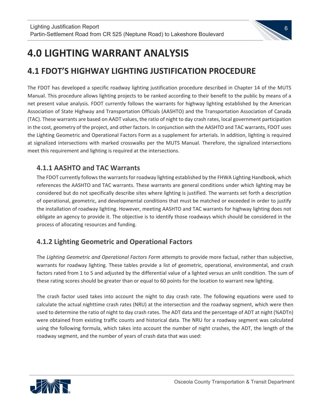# 6

## **4.0 LIGHTING WARRANT ANALYSIS**

 $\overline{\phantom{a}}$ 

### **4.1 FDOT'S HIGHWAY LIGHTING JUSTIFICATION PROCEDURE**

The FDOT has developed a specific roadway lighting justification procedure described in Chapter 14 of the MUTS Manual. This procedure allows lighting projects to be ranked according to their benefit to the public by means of a net present value analysis. FDOT currently follows the warrants for highway lighting established by the American Association of State Highway and Transportation Officials (AASHTO) and the Transportation Association of Canada (TAC). These warrants are based on AADT values, the ratio of night to day crash rates, local government participation in the cost, geometry of the project, and other factors. In conjunction with the AASHTO and TAC warrants, FDOT uses the Lighting Geometric and Operational Factors Form as a supplement for arterials. In addition, lighting is required at signalized intersections with marked crosswalks per the MUTS Manual. Therefore, the signalized intersections meet this requirement and lighting is required at the intersections.

### **4.1.1 AASHTO and TAC Warrants**

The FDOT currently followsthe warrantsfor roadway lighting established by the FHWA Lighting Handbook, which references the AASHTO and TAC warrants. These warrants are general conditions under which lighting may be considered but do not specifically describe sites where lighting is justified. The warrants set forth a description of operational, geometric, and developmental conditions that must be matched or exceeded in order to justify the installation of roadway lighting. However, meeting AASHTO and TAC warrants for highway lighting does not obligate an agency to provide it. The objective is to identify those roadways which should be considered in the process of allocating resources and funding.

### **4.1.2 Lighting Geometric and Operational Factors**

The *Lighting Geometric and Operational Factors Form* attempts to provide more factual, rather than subjective, warrants for roadway lighting. These tables provide a list of geometric, operational, environmental, and crash factors rated from 1 to 5 and adjusted by the differential value of a lighted versus an unlit condition. The sum of these rating scores should be greater than or equal to 60 points for the location to warrant new lighting.

The crash factor used takes into account the night to day crash rate. The following equations were used to calculate the actual nighttime crash rates (NRU) at the intersection and the roadway segment, which were then used to determine the ratio of night to day crash rates. The ADT data and the percentage of ADT at night (%ADTn) were obtained from existing traffic counts and historical data. The NRU for a roadway segment was calculated using the following formula, which takes into account the number of night crashes, the ADT, the length of the roadway segment, and the number of years of crash data that was used:

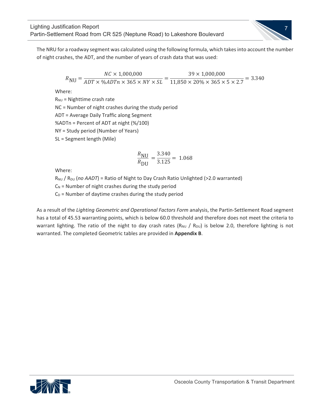

The NRU for a roadway segment was calculated using the following formula, which takes into account the number of night crashes, the ADT, and the number of years of crash data that was used:

$$
R_{\text{NU}} = \frac{NC \times 1,000,000}{ADT \times \%ADTn \times 365 \times NY \times SL} = \frac{39 \times 1,000,000}{11,850 \times 20\% \times 365 \times 5 \times 2.7} = 3.340
$$

Where:

 $\overline{\phantom{a}}$ 

 $R_{NU}$  = Nighttime crash rate NC = Number of night crashes during the study period ADT = Average Daily Traffic along Segment %ADTn = Percent of ADT at night (%/100) NY = Study period (Number of Years) SL = Segment length (Mile)

$$
\frac{R_{\text{NU}}}{R_{\text{DU}}} = \frac{3.340}{3.125} = 1.068
$$

Where:

R<sub>NU</sub> / R<sub>DU</sub> (no AADT) = Ratio of Night to Day Crash Ratio Unlighted (>2.0 warranted)

 $C_N$  = Number of night crashes during the study period

 $C_D$  = Number of daytime crashes during the study period

As a result of the *Lighting Geometric and Operational Factors Form* analysis, the Partin‐Settlement Road segment has a total of 45.53 warranting points, which is below 60.0 threshold and therefore does not meet the criteria to warrant lighting. The ratio of the night to day crash rates ( $R_{NU}$  /  $R_{DU}$ ) is below 2.0, therefore lighting is not warranted. The completed Geometric tables are provided in **Appendix B**.

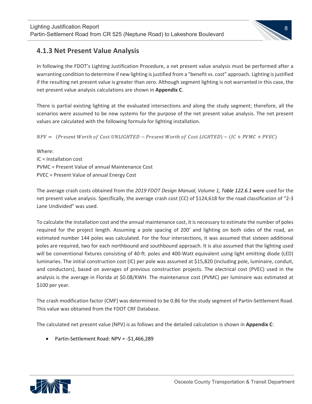

#### **4.1.3 Net Present Value Analysis**

 $\overline{\phantom{a}}$ 

In following the FDOT's Lighting Justification Procedure, a net present value analysis must be performed after a warranting condition to determine if new lighting is justified from a "benefit vs. cost" approach. Lighting is justified if the resulting net present value is greater than zero. Although segment lighting is not warranted in this case, the net present value analysis calculations are shown in **Appendix C**.

There is partial existing lighting at the evaluated intersections and along the study segment; therefore, all the scenarios were assumed to be new systems for the purpose of the net present value analysis. The net present values are calculated with the following formula for lighting installation.

 $NPV =$  (Present Worth of Cost UNLIGHTED – Present Worth of Cost LIGHTED) – (IC + PVMC + PVEC)

Where: IC = Installation cost PVMC = Present Value of annual Maintenance Cost PVEC = Present Value of annual Energy Cost

The average crash costs obtained from the *2019 FDOT Design Manual, Volume 1, Table 122.6.1* were used for the net present value analysis. Specifically, the average crash cost (CC) of \$124,618 for the road classification of "2‐3 Lane Undivided" was used.

To calculate the installation cost and the annual maintenance cost, it is necessary to estimate the number of poles required for the project length. Assuming a pole spacing of 200' and lighting on both sides of the road, an estimated number 144 poles was calculated. For the four intersections, it was assumed that sixteen additional poles are required, two for each northbound and southbound approach. It is also assumed that the lighting used will be conventional fixtures consisting of 40-ft. poles and 400-Watt equivalent using light emitting diode (LED) luminaries. The initial construction cost (IC) per pole was assumed at \$15,820 (including pole, luminaire, conduit, and conductors), based on averages of previous construction projects. The electrical cost (PVEC) used in the analysis is the average in Florida at \$0.08/KWH. The maintenance cost (PVMC) per luminaire was estimated at \$100 per year.

The crash modification factor (CMF) was determined to be 0.86 for the study segment of Partin‐Settlement Road. This value was obtained from the FDOT CRF Database.

The calculated net present value (NPV) is as follows and the detailed calculation is shown in **Appendix C**:

● Partin-Settlement Road: NPV = -\$1,466,289

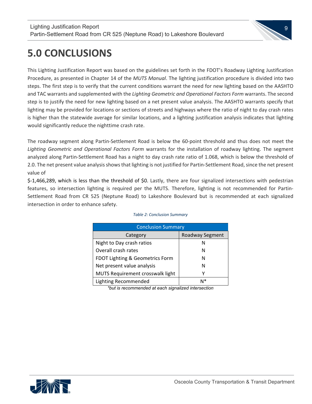

## **5.0 CONCLUSIONS**

 $\overline{\phantom{a}}$ 

This Lighting Justification Report was based on the guidelines set forth in the FDOT's Roadway Lighting Justification Procedure, as presented in Chapter 14 of the *MUTS Manual*. The lighting justification procedure is divided into two steps. The first step is to verify that the current conditions warrant the need for new lighting based on the AASHTO and TAC warrants and supplemented with the *Lighting Geometric and Operational Factors Form* warrants. The second step is to justify the need for new lighting based on a net present value analysis. The AASHTO warrants specify that lighting may be provided for locations or sections of streets and highways where the ratio of night to day crash rates is higher than the statewide average for similar locations, and a lighting justification analysis indicates that lighting would significantly reduce the nighttime crash rate.

The roadway segment along Partin‐Settlement Road is below the 60‐point threshold and thus does not meet the *Lighting Geometric and Operational Factors Form* warrants for the installation of roadway lighting. The segment analyzed along Partin‐Settlement Road has a night to day crash rate ratio of 1.068, which is below the threshold of 2.0. The net present value analysis shows that lighting is not justified for Partin-Settlement Road, since the net present value of

\$‐1,466,289, which is less than the threshold of \$0. Lastly, there are four signalized intersections with pedestrian features, so intersection lighting is required per the MUTS. Therefore, lighting is not recommended for Partin-Settlement Road from CR 525 (Neptune Road) to Lakeshore Boulevard but is recommended at each signalized intersection in order to enhance safety.

| <b>Conclusion Summary</b>        |                 |  |  |  |  |  |  |
|----------------------------------|-----------------|--|--|--|--|--|--|
| Category                         | Roadway Segment |  |  |  |  |  |  |
| Night to Day crash ratios        |                 |  |  |  |  |  |  |
| Overall crash rates              | N               |  |  |  |  |  |  |
| FDOT Lighting & Geometrics Form  |                 |  |  |  |  |  |  |
| Net present value analysis       | N               |  |  |  |  |  |  |
| MUTS Requirement crosswalk light |                 |  |  |  |  |  |  |
| Lighting Recommended             | N*              |  |  |  |  |  |  |

#### *Table 2: Conclusion Summary*

*\*but is recommended at each signalized intersection* 

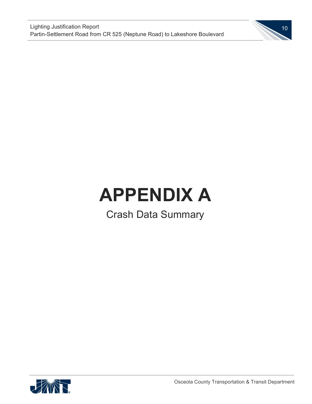

# **APPENDIX A**

Crash Data Summary

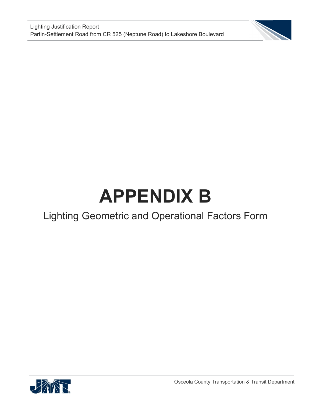

# **APPENDIX B**

## Lighting Geometric and Operational Factors Form